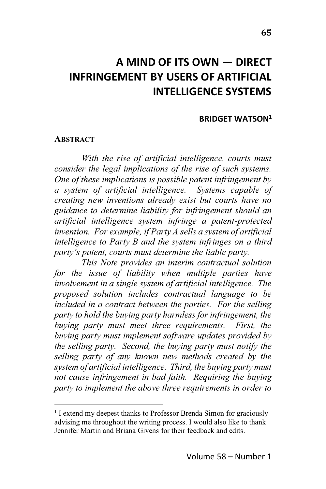# **A MIND OF ITS OWN ! DIRECT INFRINGEMENT BY USERS OF ARTIFICIAL INTELLIGENCE SYSTEMS**

#### **BRIDGET WATSON1**

#### **ABSTRACT**

*With the rise of artificial intelligence, courts must consider the legal implications of the rise of such systems. One of these implications is possible patent infringement by a system of artificial intelligence. Systems capable of creating new inventions already exist but courts have no guidance to determine liability for infringement should an artificial intelligence system infringe a patent-protected invention. For example, if Party A sells a system of artificial intelligence to Party B and the system infringes on a third Party's patent, courts must determine the liable party.* 

*This Note provides an interim contractual solution for the issue of liability when multiple parties have involvement in a single system of artificial intelligence. The proposed solution includes contractual language to be included in a contract between the parties. For the selling party to hold the buying party harmless for infringement, the buying party must meet three requirements. First, the buying party must implement software updates provided by the selling party. Second, the buying party must notify the selling party of any known new methods created by the system of artificial intelligence. Third, the buying party must not cause infringement in bad faith. Requiring the buying party to implement the above three requirements in order to*

<sup>&</sup>lt;sup>1</sup> I extend my deepest thanks to Professor Brenda Simon for graciously advising me throughout the writing process. I would also like to thank Jennifer Martin and Briana Givens for their feedback and edits.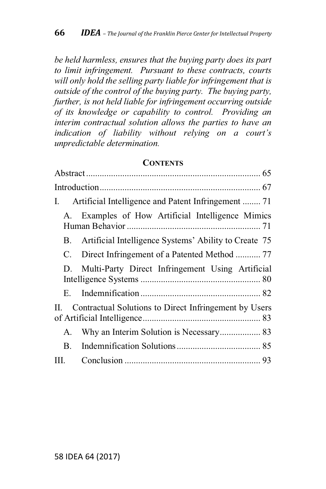*be held harmless, ensures that the buying party does its part to limit infringement. Pursuant to these contracts, courts will only hold the selling party liable for infringement that is outside of the control of the buying party. The buying party, further, is not held liable for infringement occurring outside of its knowledge or capability to control. Providing an interim contractual solution allows the parties to have an indication of liability without relying on a court's unpredictable determination.*

#### **CONTENTS**

| $\mathbf{I}$ .                                              |                                                          |
|-------------------------------------------------------------|----------------------------------------------------------|
| A.                                                          | Examples of How Artificial Intelligence Mimics           |
|                                                             | B. Artificial Intelligence Systems' Ability to Create 75 |
|                                                             | C. Direct Infringement of a Patented Method  77          |
| D.                                                          | Multi-Party Direct Infringement Using Artificial         |
| E.                                                          |                                                          |
| Contractual Solutions to Direct Infringement by Users<br>H. |                                                          |
| А.                                                          |                                                          |
| В.                                                          |                                                          |
| III.                                                        |                                                          |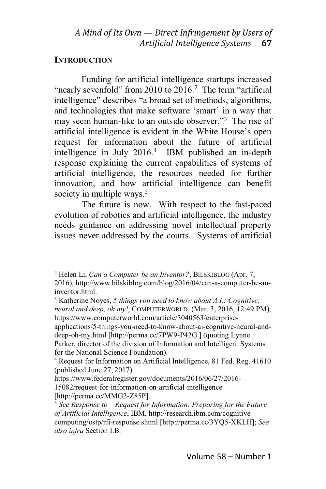#### **INTRODUCTION**

Funding for artificial intelligence startups increased "nearly sevenfold" from 2010 to  $2016<sup>2</sup>$ . The term "artificial" intelligence" describes "a broad set of methods, algorithms, and technologies that make software 'smart' in a way that may seem human-like to an outside observer."<sup>3</sup> The rise of artificial intelligence is evident in the White House's open request for information about the future of artificial intelligence in July 2016.4 IBM published an in-depth response explaining the current capabilities of systems of artificial intelligence, the resources needed for further innovation, and how artificial intelligence can benefit society in multiple ways.<sup>5</sup>

The future is now. With respect to the fast-paced evolution of robotics and artificial intelligence, the industry needs guidance on addressing novel intellectual property issues never addressed by the courts. Systems of artificial

<sup>2</sup> Helen Li, *Can a Computer be an Inventor?*, BILSKIBLOG (Apr. 7,

<sup>2016),</sup> http://www.bilskiblog.com/blog/2016/04/can-a-computer-be-aninventor.html.

<sup>3</sup> Katherine Noyes, *5 things you need to know about A.I.: Cognitive, neural and deep, oh my!*, COMPUTERWORLD, (Mar. 3, 2016, 12:49 PM), https://www.computerworld.com/article/3040563/enterprise-

applications/5-things-you-need-to-know-about-ai-cognitive-neural-anddeep-oh-my.html [http://perma.cc/7PW9-P42G ] (quoting Lynne

Parker, director of the division of Information and Intelligent Systems for the National Science Foundation).

<sup>4</sup> Request for Information on Artificial Intelligence, 81 Fed. Reg. 41610 (published June 27, 2017)

https://www.federalregister.gov/documents/2016/06/27/2016-

<sup>15082/</sup>request-for-information-on-artificial-intelligence [http://perma.cc/MMG2-Z85P].

<sup>5</sup> *See Response to 7 Request for Information: Preparing for the Future of Artificial Intelligence*, IBM, http://research.ibm.com/cognitivecomputing/ostp/rfi-response.shtml [http://perma.cc/3YQ5-XKLH]; *See also infra* Section I.B.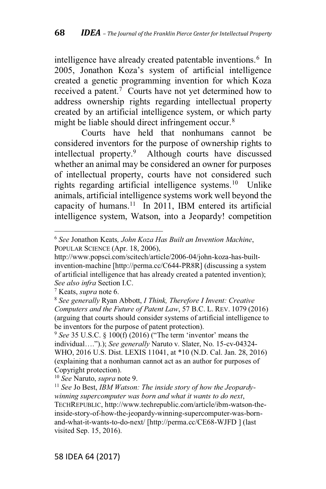intelligence have already created patentable inventions.<sup>6</sup> In 2005, Jonathon Koza's system of artificial intelligence created a genetic programming invention for which Koza received a patent.<sup>7</sup> Courts have not yet determined how to address ownership rights regarding intellectual property created by an artificial intelligence system, or which party might be liable should direct infringement occur.<sup>8</sup>

Courts have held that nonhumans cannot be considered inventors for the purpose of ownership rights to intellectual property.9 Although courts have discussed whether an animal may be considered an owner for purposes of intellectual property, courts have not considered such rights regarding artificial intelligence systems.10 Unlike animals, artificial intelligence systems work well beyond the capacity of humans.<sup>11</sup> In 2011, IBM entered its artificial intelligence system, Watson, into a Jeopardy! competition

<sup>7</sup> Keats, *supra* note 6.

<sup>6</sup> *See* Jonathon Keats*, John Koza Has Built an Invention Machine*, POPULAR SCIENCE (Apr. 18, 2006),

http://www.popsci.com/scitech/article/2006-04/john-koza-has-builtinvention-machine [http://perma.cc/C644-PR8R] (discussing a system of artificial intelligence that has already created a patented invention); *See also infra* Section I.C.

<sup>8</sup> *See generally* Ryan Abbott, *I Think, Therefore I Invent: Creative Computers and the Future of Patent Law*, 57 B.C. L. REV. 1079 (2016) (arguing that courts should consider systems of artificial intelligence to be inventors for the purpose of patent protection).

 $9$  *See* 35 U.S.C. § 100(f) (2016) ("The term 'inventor' means the individual....").); See generally Naruto v. Slater, No. 15-cv-04324-WHO, 2016 U.S. Dist. LEXIS 11041, at \*10 (N.D. Cal. Jan. 28, 2016) (explaining that a nonhuman cannot act as an author for purposes of Copyright protection).

<sup>10</sup> *See* Naruto, *supra* note 9.

<sup>11</sup> *See* Jo Best, *IBM Watson: The inside story of how the Jeopardywinning supercomputer was born and what it wants to do next*, TECHREPUBLIC, http://www.techrepublic.com/article/ibm-watson-theinside-story-of-how-the-jeopardy-winning-supercomputer-was-bornand-what-it-wants-to-do-next/ [http://perma.cc/CE68-WJFD ] (last visited Sep. 15, 2016).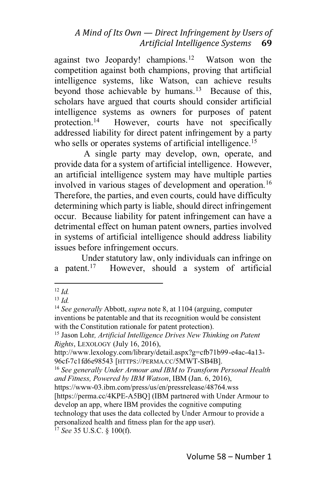against two Jeopardy! champions.<sup>12</sup> Watson won the competition against both champions, proving that artificial intelligence systems, like Watson, can achieve results beyond those achievable by humans.<sup>13</sup> Because of this, scholars have argued that courts should consider artificial intelligence systems as owners for purposes of patent protection.<sup>14</sup> However, courts have not specifically However, courts have not specifically addressed liability for direct patent infringement by a party who sells or operates systems of artificial intelligence.<sup>15</sup>

A single party may develop, own, operate, and provide data for a system of artificial intelligence. However, an artificial intelligence system may have multiple parties involved in various stages of development and operation.<sup>16</sup> Therefore, the parties, and even courts, could have difficulty determining which party is liable, should direct infringement occur. Because liability for patent infringement can have a detrimental effect on human patent owners, parties involved in systems of artificial intelligence should address liability issues before infringement occurs.

Under statutory law, only individuals can infringe on a patent.<sup>17</sup> However, should a system of artificial

<sup>17</sup> *See* 35 U.S.C. § 100(f).

<sup>12</sup> *Id.*

<sup>13</sup> *Id.*

<sup>14</sup> *See generally* Abbott, *supra* note 8, at 1104 (arguing, computer inventions be patentable and that its recognition would be consistent with the Constitution rationale for patent protection).

<sup>15</sup> Jason Lohr*, Artificial Intelligence Drives New Thinking on Patent Rights*, LEXOLOGY (July 16, 2016),

http://www.lexology.com/library/detail.aspx?g=cfb71b99-e4ac-4a13- 96cf-7c1fd6e98543 [HTTPS://PERMA.CC/5MWT-SB4B].

<sup>16</sup> *See generally Under Armour and IBM to Transform Personal Health and Fitness, Powered by IBM Watson*, IBM (Jan. 6, 2016),

https://www-03.ibm.com/press/us/en/pressrelease/48764.wss [https://perma.cc/4KPE-A5BQ] (IBM partnered with Under Armour to develop an app, where IBM provides the cognitive computing technology that uses the data collected by Under Armour to provide a personalized health and fitness plan for the app user).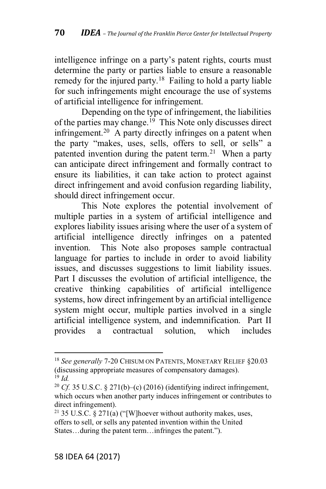intelligence infringe on a party's patent rights, courts must determine the party or parties liable to ensure a reasonable remedy for the injured party.<sup>18</sup> Failing to hold a party liable for such infringements might encourage the use of systems of artificial intelligence for infringement.

Depending on the type of infringement, the liabilities of the parties may change.<sup>19</sup> This Note only discusses direct infringement.20 A party directly infringes on a patent when the party "makes, uses, sells, offers to sell, or sells" a patented invention during the patent term.<sup>21</sup> When a party can anticipate direct infringement and formally contract to ensure its liabilities, it can take action to protect against direct infringement and avoid confusion regarding liability, should direct infringement occur.

This Note explores the potential involvement of multiple parties in a system of artificial intelligence and explores liability issues arising where the user of a system of artificial intelligence directly infringes on a patented invention. This Note also proposes sample contractual language for parties to include in order to avoid liability issues, and discusses suggestions to limit liability issues. Part I discusses the evolution of artificial intelligence, the creative thinking capabilities of artificial intelligence systems, how direct infringement by an artificial intelligence system might occur, multiple parties involved in a single artificial intelligence system, and indemnification. Part II provides a contractual solution, which includes

<sup>18</sup> *See generally* 7-20 CHISUM ON PATENTS, MONETARY RELIEF §20.03 (discussing appropriate measures of compensatory damages). <sup>19</sup> *Id.*

<sup>&</sup>lt;sup>20</sup> *Cf.* 35 U.S.C. § 271(b)–(c) (2016) (identifying indirect infringement, which occurs when another party induces infringement or contributes to direct infringement).

<sup>&</sup>lt;sup>21</sup> 35 U.S.C. § 271(a) ("[W]hoever without authority makes, uses, offers to sell, or sells any patented invention within the United States... during the patent term... infringes the patent.").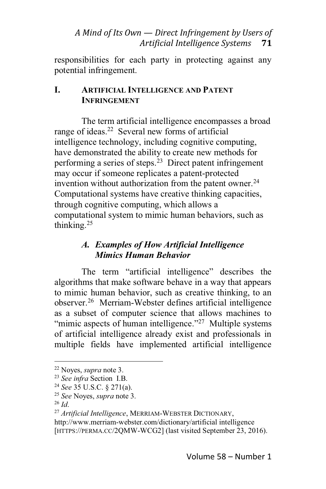responsibilities for each party in protecting against any potential infringement.

#### **I. ARTIFICIAL INTELLIGENCE AND PATENT INFRINGEMENT**

The term artificial intelligence encompasses a broad range of ideas.<sup>22</sup> Several new forms of artificial intelligence technology, including cognitive computing, have demonstrated the ability to create new methods for performing a series of steps.<sup>23</sup> Direct patent infringement may occur if someone replicates a patent-protected invention without authorization from the patent owner. $24$ Computational systems have creative thinking capacities, through cognitive computing, which allows a computational system to mimic human behaviors, such as thinking.25

# *A. Examples of How Artificial Intelligence Mimics Human Behavior*

The term "artificial intelligence" describes the algorithms that make software behave in a way that appears to mimic human behavior, such as creative thinking, to an observer.26 Merriam-Webster defines artificial intelligence as a subset of computer science that allows machines to "mimic aspects of human intelligence."<sup>27</sup> Multiple systems of artificial intelligence already exist and professionals in multiple fields have implemented artificial intelligence

<sup>22</sup> Noyes, *supra* note 3.

<sup>23</sup> *See infra* Section I.B.

<sup>24</sup> *See* 35 U.S.C. § 271(a).

<sup>25</sup> *See* Noyes, *supra* note 3.

<sup>26</sup> *Id*.

<sup>27</sup> *Artificial Intelligence*, MERRIAM-WEBSTER DICTIONARY, http://www.merriam-webster.com/dictionary/artificial intelligence [HTTPS://PERMA.CC/2QMW-WCG2] (last visited September 23, 2016).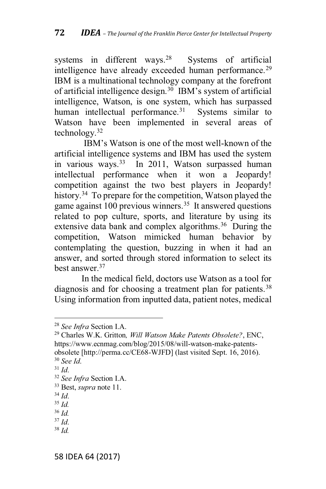systems in different ways.<sup>28</sup> Systems of artificial intelligence have already exceeded human performance.<sup>29</sup> IBM is a multinational technology company at the forefront of artificial intelligence design.<sup>30</sup> IBM's system of artificial intelligence, Watson, is one system, which has surpassed human intellectual performance. $31$  Systems similar to Watson have been implemented in several areas of technology.32

 $\text{IBM's Watson}$  is one of the most well-known of the artificial intelligence systems and IBM has used the system in various ways.<sup>33</sup> In 2011, Watson surpassed human intellectual performance when it won a Jeopardy! competition against the two best players in Jeopardy! history.<sup>34</sup> To prepare for the competition, Watson played the game against 100 previous winners.<sup>35</sup> It answered questions related to pop culture, sports, and literature by using its extensive data bank and complex algorithms.<sup>36</sup> During the competition, Watson mimicked human behavior by contemplating the question, buzzing in when it had an answer, and sorted through stored information to select its best answer.37

In the medical field, doctors use Watson as a tool for diagnosis and for choosing a treatment plan for patients.<sup>38</sup> Using information from inputted data, patient notes, medical

<sup>30</sup> *See Id*.

<sup>38</sup> *Id.*

<sup>28</sup> *See Infra* Section I.A.

<sup>29</sup> Charles W.K. Gritton*, Will Watson Make Patents Obsolete?*, ENC, https://www.ecnmag.com/blog/2015/08/will-watson-make-patentsobsolete [http://perma.cc/CE68-WJFD] (last visited Sept. 16, 2016).

<sup>31</sup> *Id*.

<sup>32</sup> *See Infra* Section I.A.

<sup>33</sup> Best, *supra* note 11.

<sup>34</sup> *Id*.

<sup>35</sup> *Id.*

<sup>36</sup> *Id.*

<sup>37</sup> *Id*.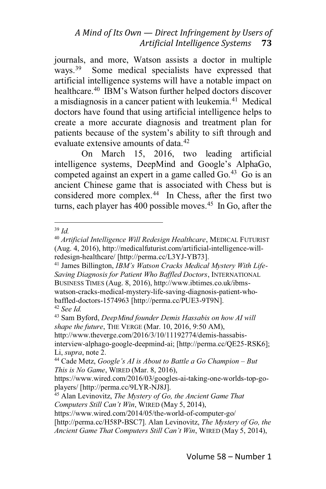journals, and more, Watson assists a doctor in multiple ways.<sup>39</sup> Some medical specialists have expressed that artificial intelligence systems will have a notable impact on healthcare.<sup>40</sup> IBM's Watson further helped doctors discover a misdiagnosis in a cancer patient with leukemia.41 Medical doctors have found that using artificial intelligence helps to create a more accurate diagnosis and treatment plan for patients because of the system's ability to sift through and evaluate extensive amounts of data <sup>42</sup>

On March 15, 2016, two leading artificial intelligence systems, DeepMind and Google's AlphaGo, competed against an expert in a game called Go. $43$  Go is an ancient Chinese game that is associated with Chess but is considered more complex.<sup>44</sup> In Chess, after the first two turns, each player has  $400$  possible moves.<sup>45</sup> In Go, after the

http://www.theverge.com/2016/3/10/11192774/demis-hassabisinterview-alphago-google-deepmind-ai; [http://perma.cc/QE25-RSK6]; Li, *supra*, note 2.

<sup>39</sup> *Id.*

<sup>40</sup> *Artificial Intelligence Will Redesign Healthcare*, MEDICAL FUTURIST (Aug. 4, 2016), http://medicalfuturist.com/artificial-intelligence-willredesign-healthcare/ [http://perma.cc/L3YJ-YB73].

<sup>&</sup>lt;sup>41</sup> James Billington, *IBM's Watson Cracks Medical Mystery With Life-Saving Diagnosis for Patient Who Baffled Doctors*, INTERNATIONAL BUSINESS TIMES (Aug. 8, 2016), http://www.ibtimes.co.uk/ibmswatson-cracks-medical-mystery-life-saving-diagnosis-patient-whobaffled-doctors-1574963 [http://perma.cc/PUE3-9T9N].

<sup>42</sup> *See Id.*

<sup>43</sup> Sam Byford, *DeepMind founder Demis Hassabis on how AI will shape the future*, THE VERGE (Mar. 10, 2016, 9:50 AM),

<sup>&</sup>lt;sup>44</sup> Cade Metz, *Google's AI* is *About to Battle a Go Champion – But This is No Game*, WIRED (Mar. 8, 2016),

https://www.wired.com/2016/03/googles-ai-taking-one-worlds-top-goplayers/ [http://perma.cc/9LYR-NJ8J].

<sup>45</sup> Alan Levinovitz, *The Mystery of Go, the Ancient Game That Computers Still Can't Win, WIRED (May 5, 2014),* 

https://www.wired.com/2014/05/the-world-of-computer-go/

<sup>[</sup>http://perma.cc/H58P-BSC7]. Alan Levinovitz, *The Mystery of Go, the Ancient Game That Computers Still Can't Win, WIRED (May 5, 2014),*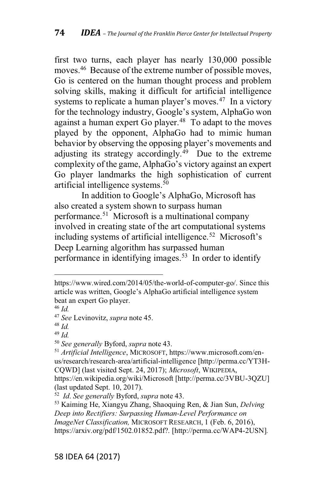first two turns, each player has nearly 130,000 possible moves.<sup>46</sup> Because of the extreme number of possible moves, Go is centered on the human thought process and problem solving skills, making it difficult for artificial intelligence systems to replicate a human player's moves.<sup>47</sup> In a victory for the technology industry, Google's system, AlphaGo won against a human expert Go player. $48$  To adapt to the moves played by the opponent, AlphaGo had to mimic human behavior by observing the opposing player's movements and adjusting its strategy accordingly.<sup>49</sup> Due to the extreme complexity of the game, AlphaGo's victory against an expert Go player landmarks the high sophistication of current artificial intelligence systems.50

In addition to Google's AlphaGo, Microsoft has also created a system shown to surpass human performance.51 Microsoft is a multinational company involved in creating state of the art computational systems including systems of artificial intelligence.<sup>52</sup> Microsoft's Deep Learning algorithm has surpassed human performance in identifying images.<sup>53</sup> In order to identify

https://www.wired.com/2014/05/the-world-of-computer-go/. Since this article was written, Google's AlphaGo artificial intelligence system beat an expert Go player.

<sup>46</sup> *Id.*

<sup>47</sup> *See* Levinovitz, *supra* note 45.

<sup>48</sup> *Id.*

<sup>49</sup> *Id.*

<sup>50</sup> *See generally* Byford, *supra* note 43.

<sup>51</sup> *Artificial Intelligence*, MICROSOFT, https://www.microsoft.com/enus/research/research-area/artificial-intelligence [http://perma.cc/YT3H-CQWD] (last visited Sept. 24, 2017); *Microsoft*, WIKIPEDIA, https://en.wikipedia.org/wiki/Microsoft [http://perma.cc/3VBU-3QZU] (last updated Sept. 10, 2017).

<sup>52</sup> *Id*. *See generally* Byford, *supra* note 43.

<sup>53</sup> Kaiming He, Xiangyu Zhang, Shaoquing Ren, & Jian Sun, *Delving Deep into Rectifiers: Surpassing Human-Level Performance on ImageNet Classification,* MICROSOFT RESEARCH, 1 (Feb. 6, 2016), https://arxiv.org/pdf/1502.01852.pdf?. [http://perma.cc/WAP4-2USN]*.*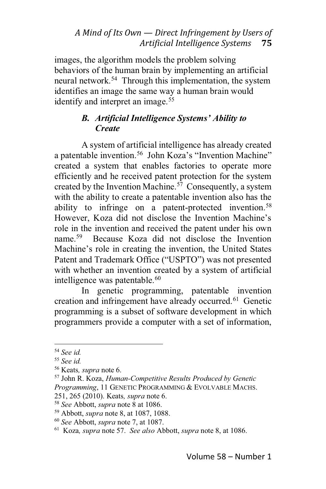images, the algorithm models the problem solving behaviors of the human brain by implementing an artificial neural network.54 Through this implementation, the system identifies an image the same way a human brain would identify and interpret an image.<sup>55</sup>

#### *B. Artificial Intelligence Systems' Ability to Create*

A system of artificial intelligence has already created a patentable invention.<sup>56</sup> John Koza's "Invention Machine" created a system that enables factories to operate more efficiently and he received patent protection for the system created by the Invention Machine.<sup>57</sup> Consequently, a system with the ability to create a patentable invention also has the ability to infringe on a patent-protected invention.<sup>58</sup> However, Koza did not disclose the Invention Machine's role in the invention and received the patent under his own name.59 Because Koza did not disclose the Invention Machine's role in creating the invention, the United States Patent and Trademark Office ("USPTO") was not presented with whether an invention created by a system of artificial intelligence was patentable.<sup>60</sup>

In genetic programming, patentable invention creation and infringement have already occurred.61 Genetic programming is a subset of software development in which programmers provide a computer with a set of information,

<sup>54</sup> *See id.*

<sup>55</sup> *See id.*

<sup>56</sup> Keats*, supra* note 6.

<sup>57</sup> John R. Koza, *Human-Competitive Results Produced by Genetic Programming*, 11 GENETIC PROGRAMMING & EVOLVABLE MACHS. 251, 265 (2010). Keats*, supra* note 6.

<sup>58</sup> *See* Abbott, *supra* note 8 at 1086.

<sup>59</sup> Abbott, *supra* note 8, at 1087, 1088.

<sup>60</sup> *See* Abbott, *supra* note 7, at 1087.

<sup>61</sup> Koza*, supra* note 57. *See also* Abbott, *supra* note 8, at 1086.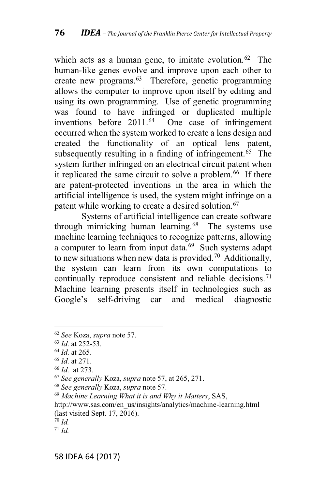which acts as a human gene, to imitate evolution.<sup>62</sup> The human-like genes evolve and improve upon each other to create new programs.63 Therefore, genetic programming allows the computer to improve upon itself by editing and using its own programming. Use of genetic programming was found to have infringed or duplicated multiple<br>inventions before 2011.<sup>64</sup> One case of infringement One case of infringement occurred when the system worked to create a lens design and created the functionality of an optical lens patent, subsequently resulting in a finding of infringement.<sup>65</sup> The system further infringed on an electrical circuit patent when it replicated the same circuit to solve a problem.<sup>66</sup> If there are patent-protected inventions in the area in which the artificial intelligence is used, the system might infringe on a patent while working to create a desired solution.<sup>67</sup>

Systems of artificial intelligence can create software through mimicking human learning.68 The systems use machine learning techniques to recognize patterns, allowing a computer to learn from input data.<sup>69</sup> Such systems adapt to new situations when new data is provided.<sup>70</sup> Additionally, the system can learn from its own computations to continually reproduce consistent and reliable decisions.<sup>71</sup> Machine learning presents itself in technologies such as Google's self-driving car and medical diagnostic

<sup>62</sup> *See* Koza, *supra* note 57.

<sup>63</sup> *Id*. at 252-53.

<sup>64</sup> *Id*. at 265.

<sup>65</sup> *Id*. at 271.

<sup>66</sup> *Id*. at 273.

<sup>67</sup> *See generally* Koza, *supra* note 57, at 265, 271.

<sup>68</sup> *See generally* Koza, *supra* note 57.

<sup>69</sup> *Machine Learning What it is and Why it Matters*, SAS,

http://www.sas.com/en\_us/insights/analytics/machine-learning.html (last visited Sept. 17, 2016).

<sup>70</sup> *Id.*

<sup>71</sup> *Id.*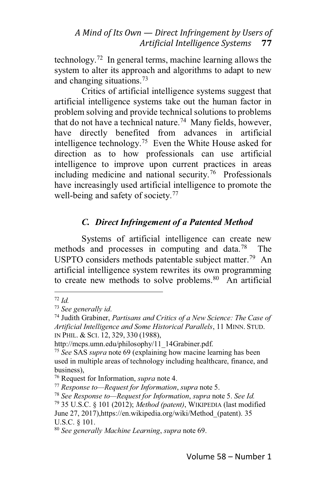technology.72 In general terms, machine learning allows the system to alter its approach and algorithms to adapt to new and changing situations.73

Critics of artificial intelligence systems suggest that artificial intelligence systems take out the human factor in problem solving and provide technical solutions to problems that do not have a technical nature.<sup>74</sup> Many fields, however, have directly benefited from advances in artificial intelligence technology.<sup>75</sup> Even the White House asked for direction as to how professionals can use artificial intelligence to improve upon current practices in areas including medicine and national security.<sup>76</sup> Professionals have increasingly used artificial intelligence to promote the well-being and safety of society.<sup>77</sup>

# *C. Direct Infringement of a Patented Method*

Systems of artificial intelligence can create new methods and processes in computing and data.78 The USPTO considers methods patentable subject matter.<sup>79</sup> An artificial intelligence system rewrites its own programming to create new methods to solve problems. $80$  An artificial

<sup>72</sup> *Id.*

<sup>73</sup> *See generally id*.

<sup>74</sup> Judith Grabiner, *Partisans and Critics of a New Science: The Case of Artificial Intelligence and Some Historical Parallels*, 11 MINN. STUD. IN PHIL.&SCI. 12, 329, 330 (1988),

http://mcps.umn.edu/philosophy/11\_14Grabiner.pdf.

<sup>75</sup> *See* SAS *supra* note 69 (explaining how macine learning has been used in multiple areas of technology including healthcare, finance, and business),

<sup>76</sup> Request for Information, *supra* note 4.

<sup>77</sup> *Response toDRequest for Information*, *supra* note 5.

<sup>78</sup> *See Response toDRequest for Information*, *supra* note 5. *See Id.*

<sup>79</sup> 35 U.S.C. § 101 (2012); *Method (patent)*, WIKIPEDIA (last modified

June 27, 2017),https://en.wikipedia.org/wiki/Method\_(patent). 35 U.S.C. § 101.

<sup>80</sup> *See generally Machine Learning*, *supra* note 69.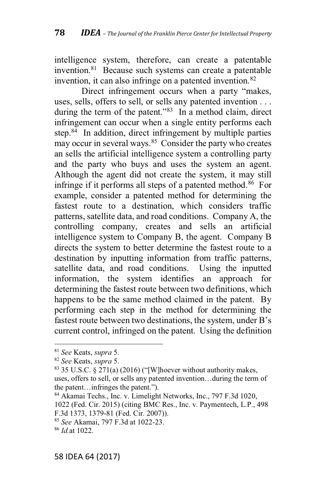intelligence system, therefore, can create a patentable invention.<sup>81</sup> Because such systems can create a patentable invention, it can also infringe on a patented invention.<sup>82</sup>

Direct infringement occurs when a party "makes, uses, sells, offers to sell, or sells any patented invention . . . during the term of the patent." $83$  In a method claim, direct infringement can occur when a single entity performs each step.<sup>84</sup> In addition, direct infringement by multiple parties may occur in several ways.<sup>85</sup> Consider the party who creates an sells the artificial intelligence system a controlling party and the party who buys and uses the system an agent. Although the agent did not create the system, it may still infringe if it performs all steps of a patented method.<sup>86</sup> For example, consider a patented method for determining the fastest route to a destination, which considers traffic patterns, satellite data, and road conditions. Company A, the controlling company, creates and sells an artificial intelligence system to Company B, the agent. Company B directs the system to better determine the fastest route to a destination by inputting information from traffic patterns, satellite data, and road conditions. Using the inputted information, the system identifies an approach for determining the fastest route between two definitions, which happens to be the same method claimed in the patent. By performing each step in the method for determining the fastest route between two destinations, the system, under  $B$ 's current control, infringed on the patent. Using the definition

<sup>81</sup> *See* Keats, *supra* 5.

<sup>82</sup> *See* Keats, *supra* 5.

 $83$  35 U.S.C.  $\S$  271(a) (2016) ("[W]hoever without authority makes, uses, offers to sell, or sells any patented invention...during the term of the patent... infringes the patent.").

<sup>84</sup> Akamai Techs., Inc. v. Limelight Networks, Inc., 797 F.3d 1020, 1022 (Fed. Cir. 2015) (citing BMC Res., Inc. v. Paymentech, L.P., 498 F.3d 1373, 1379-81 (Fed. Cir. 2007)).

<sup>85</sup> *See* Akamai, 797 F.3d at 1022-23.

<sup>86</sup> *Id.*at 1022.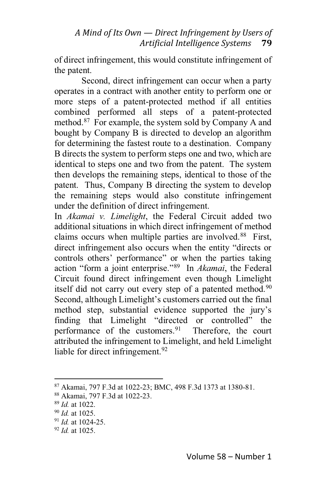of direct infringement, this would constitute infringement of the patent.

Second, direct infringement can occur when a party operates in a contract with another entity to perform one or more steps of a patent-protected method if all entities combined performed all steps of a patent-protected method.<sup>87</sup> For example, the system sold by Company A and bought by Company B is directed to develop an algorithm for determining the fastest route to a destination. Company B directs the system to perform steps one and two, which are identical to steps one and two from the patent. The system then develops the remaining steps, identical to those of the patent. Thus, Company B directing the system to develop the remaining steps would also constitute infringement under the definition of direct infringement.

In *Akamai v. Limelight*, the Federal Circuit added two additional situations in which direct infringement of method claims occurs when multiple parties are involved.<sup>88</sup> First, direct infringement also occurs when the entity "directs or controls others' performance" or when the parties taking action "form a joint enterprise."<sup>89</sup> In *Akamai*, the Federal Circuit found direct infringement even though Limelight itself did not carry out every step of a patented method.<sup>90</sup> Second, although Limelight's customers carried out the final method step, substantial evidence supported the jury's finding that Limelight "directed or controlled" the performance of the customers.<sup>91</sup> Therefore, the court attributed the infringement to Limelight, and held Limelight liable for direct infringement.<sup>92</sup>

<sup>91</sup> *Id.* at 1024-25.

<sup>87</sup> Akamai, 797 F.3d at 1022-23; BMC, 498 F.3d 1373 at 1380-81.

<sup>88</sup> Akamai, 797 F.3d at 1022-23.

<sup>89</sup> *Id.* at 1022.

<sup>90</sup> *Id.* at 1025.

<sup>92</sup> *Id.* at 1025.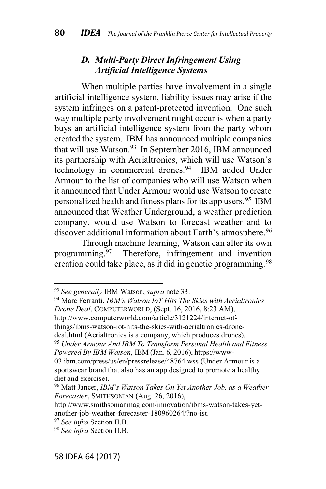#### *D. Multi-Party Direct Infringement Using Artificial Intelligence Systems*

When multiple parties have involvement in a single artificial intelligence system, liability issues may arise if the system infringes on a patent-protected invention. One such way multiple party involvement might occur is when a party buys an artificial intelligence system from the party whom created the system. IBM has announced multiple companies that will use Watson.<sup>93</sup> In September 2016, IBM announced its partnership with Aerialtronics, which will use Watson's technology in commercial drones.<sup>94</sup> IBM added Under Armour to the list of companies who will use Watson when it announced that Under Armour would use Watson to create personalized health and fitness plans for its app users.<sup>95</sup> IBM announced that Weather Underground, a weather prediction company, would use Watson to forecast weather and to discover additional information about Earth's atmosphere.<sup>96</sup>

Through machine learning, Watson can alter its own programming.97 Therefore, infringement and invention creation could take place, as it did in genetic programming.<sup>98</sup>

94 Marc Ferranti, *IBM's Watson IoT Hits The Skies with Aerialtronics Drone Deal*, COMPUTERWORLD, (Sept. 16, 2016, 8:23 AM),

http://www.computerworld.com/article/3121224/internet-of-

things/ibms-watson-iot-hits-the-skies-with-aerialtronics-drone-

deal.html (Aerialtronics is a company, which produces drones).

<sup>95</sup> *Under Armour And IBM To Transform Personal Health and Fitness, Powered By IBM Watson*, IBM (Jan. 6, 2016), https://www-

03.ibm.com/press/us/en/pressrelease/48764.wss (Under Armour is a sportswear brand that also has an app designed to promote a healthy diet and exercise).

<sup>96</sup> Matt Jancer, *89:&' ;"\$',) C"=(' F) G(\$ A),\$1(# H,3\* "' a Weather Forecaster*, SMITHSONIAN (Aug. 26, 2016),

http://www.smithsonianmag.com/innovation/ibms-watson-takes-yetanother-job-weather-forecaster-180960264/?no-ist.

<sup>93</sup> *See generally* IBM Watson, *supra* note 33.

<sup>97</sup> *See infra* Section II.B.

<sup>98</sup> *See infra* Section II.B.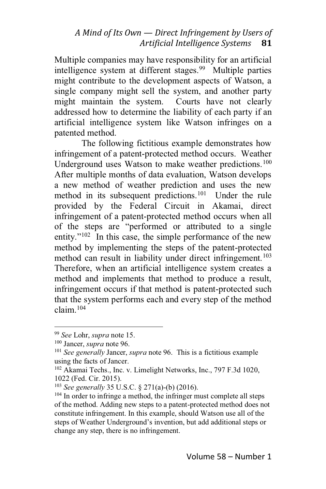Multiple companies may have responsibility for an artificial intelligence system at different stages.<sup>99</sup> Multiple parties might contribute to the development aspects of Watson, a single company might sell the system, and another party might maintain the system. Courts have not clearly addressed how to determine the liability of each party if an artificial intelligence system like Watson infringes on a patented method.

The following fictitious example demonstrates how infringement of a patent-protected method occurs. Weather Underground uses Watson to make weather predictions.<sup>100</sup> After multiple months of data evaluation, Watson develops a new method of weather prediction and uses the new method in its subsequent predictions.<sup>101</sup> Under the rule provided by the Federal Circuit in Akamai, direct infringement of a patent-protected method occurs when all of the steps are "performed or attributed to a single entity." $102$  In this case, the simple performance of the new method by implementing the steps of the patent-protected method can result in liability under direct infringement.<sup>103</sup> Therefore, when an artificial intelligence system creates a method and implements that method to produce a result, infringement occurs if that method is patent-protected such that the system performs each and every step of the method claim.104

<sup>99</sup> *See* Lohr, *supra* note 15.

<sup>100</sup> Jancer, *supra* note 96.

<sup>101</sup> *See generally* Jancer, *supra* note 96. This is a fictitious example using the facts of Jancer.

<sup>102</sup> Akamai Techs., Inc. v. Limelight Networks, Inc., 797 F.3d 1020, 1022 (Fed. Cir. 2015).

<sup>103</sup> *See generally* 35 U.S.C. § 271(a)-(b) (2016).

<sup>&</sup>lt;sup>104</sup> In order to infringe a method, the infringer must complete all steps of the method. Adding new steps to a patent-protected method does not constitute infringement. In this example, should Watson use all of the steps of Weather Underground's invention, but add additional steps or change any step, there is no infringement.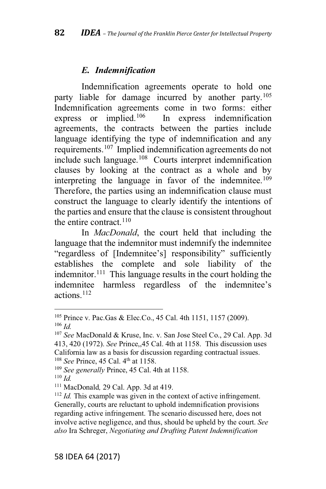#### *E. Indemnification*

Indemnification agreements operate to hold one party liable for damage incurred by another party.<sup>105</sup> Indemnification agreements come in two forms: either<br>express or implied.<sup>106</sup> In express indemnification In express indemnification agreements, the contracts between the parties include language identifying the type of indemnification and any requirements.107 Implied indemnification agreements do not include such language.108 Courts interpret indemnification clauses by looking at the contract as a whole and by interpreting the language in favor of the indemnitee.<sup>109</sup> Therefore, the parties using an indemnification clause must construct the language to clearly identify the intentions of the parties and ensure that the clause is consistent throughout the entire contract.  $110$ 

In *MacDonald*, the court held that including the language that the indemnitor must indemnify the indemnitee "regardless of [Indemnitee's] responsibility" sufficiently establishes the complete and sole liability of the indemnitor.<sup>111</sup> This language results in the court holding the indemnitee harmless regardless of the indemnitee's actions.112

<sup>105</sup> Prince v. Pac.Gas & Elec.Co., 45 Cal. 4th 1151, 1157 (2009).

<sup>106</sup> *Id.*

<sup>107</sup> *See* MacDonald & Kruse, Inc. v. San Jose Steel Co., 29 Cal. App. 3d 413, 420 (1972). *See* Prince,,45 Cal. 4th at 1158. This discussion uses California law as a basis for discussion regarding contractual issues. <sup>108</sup> *See* Prince, 45 Cal. 4<sup>th</sup> at 1158.

<sup>109</sup> *See generally* Prince, 45 Cal. 4th at 1158.

<sup>110</sup> *Id.*

<sup>111</sup> MacDonald*,* 29 Cal. App. 3d at 419.

<sup>112</sup> *Id.* This example was given in the context of active infringement. Generally, courts are reluctant to uphold indemnification provisions regarding active infringement. The scenario discussed here, does not involve active negligence, and thus, should be upheld by the court. *See also* Ira Schreger, *Negotiating and Drafting Patent Indemnification*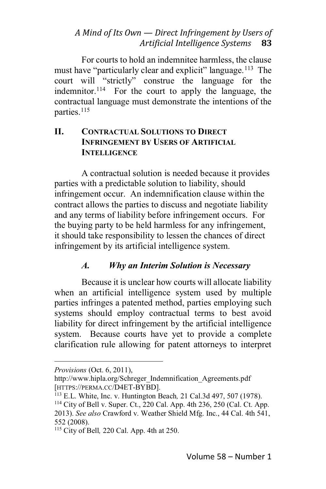For courts to hold an indemnitee harmless, the clause must have "particularly clear and explicit" language.<sup>113</sup> The court will "strictly" construe the language for the indemnitor.<sup>114</sup> For the court to apply the language, the contractual language must demonstrate the intentions of the parties.<sup>115</sup>

#### **II. CONTRACTUAL SOLUTIONS TO DIRECT INFRINGEMENT BY USERS OF ARTIFICIAL INTELLIGENCE**

A contractual solution is needed because it provides parties with a predictable solution to liability, should infringement occur. An indemnification clause within the contract allows the parties to discuss and negotiate liability and any terms of liability before infringement occurs. For the buying party to be held harmless for any infringement, it should take responsibility to lessen the chances of direct infringement by its artificial intelligence system.

# *A. Why an Interim Solution is Necessary*

Because it is unclear how courts will allocate liability when an artificial intelligence system used by multiple parties infringes a patented method, parties employing such systems should employ contractual terms to best avoid liability for direct infringement by the artificial intelligence system. Because courts have yet to provide a complete clarification rule allowing for patent attorneys to interpret

*Provisions* (Oct. 6, 2011),

http://www.hipla.org/Schreger\_Indemnification\_Agreements.pdf [HTTPS://PERMA.CC/D4ET-BYBD].

<sup>113</sup> E.L. White, Inc. v. Huntington Beach*,* 21 Cal.3d 497, 507 (1978).

<sup>114</sup> City of Bell v. Super. Ct., 220 Cal. App. 4th 236, 250 (Cal. Ct. App.

<sup>2013).</sup> *See also* Crawford v. Weather Shield Mfg. Inc., 44 Cal. 4th 541, 552 (2008).

<sup>115</sup> City of Bell*,* 220 Cal. App. 4th at 250.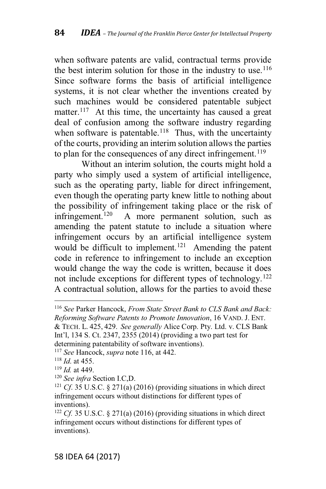when software patents are valid, contractual terms provide the best interim solution for those in the industry to use.<sup>116</sup> Since software forms the basis of artificial intelligence systems, it is not clear whether the inventions created by such machines would be considered patentable subject matter.<sup>117</sup> At this time, the uncertainty has caused a great deal of confusion among the software industry regarding when software is patentable.<sup>118</sup> Thus, with the uncertainty of the courts, providing an interim solution allows the parties to plan for the consequences of any direct infringement.<sup>119</sup>

Without an interim solution, the courts might hold a party who simply used a system of artificial intelligence, such as the operating party, liable for direct infringement, even though the operating party knew little to nothing about the possibility of infringement taking place or the risk of infringement.120 A more permanent solution, such as amending the patent statute to include a situation where infringement occurs by an artificial intelligence system would be difficult to implement.<sup>121</sup> Amending the patent code in reference to infringement to include an exception would change the way the code is written, because it does not include exceptions for different types of technology.<sup>122</sup> A contractual solution, allows for the parties to avoid these

<sup>116</sup> *See* Parker Hancock, *From State Street Bank to CLS Bank and Back: Reforming Software Patents to Promote Innovation*, 16 VAND. J. ENT. & TECH. L. 425, 429. *See generally* Alice Corp. Pty. Ltd. v. CLS Bank Int'l, 134 S. Ct. 2347, 2355 (2014) (providing a two part test for determining patentability of software inventions).

<sup>117</sup> *See* Hancock, *supra* note 116, at 442.

<sup>118</sup> *Id*. at 455.

<sup>119</sup> *Id.* at 449.

<sup>120</sup> *See infra* Section I.C,D.

<sup>121</sup> *Cf*. 35 U.S.C. § 271(a) (2016) (providing situations in which direct infringement occurs without distinctions for different types of inventions).

<sup>122</sup> *Cf.* 35 U.S.C. § 271(a) (2016) (providing situations in which direct infringement occurs without distinctions for different types of inventions).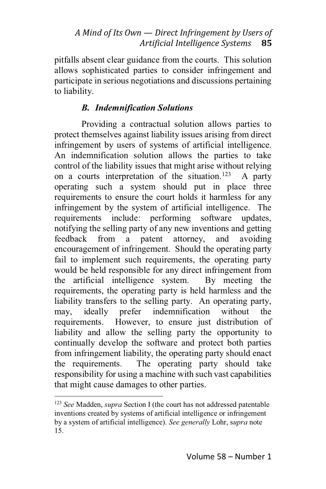pitfalls absent clear guidance from the courts. This solution allows sophisticated parties to consider infringement and participate in serious negotiations and discussions pertaining to liability.

# *B. Indemnification Solutions*

Providing a contractual solution allows parties to protect themselves against liability issues arising from direct infringement by users of systems of artificial intelligence. An indemnification solution allows the parties to take control of the liability issues that might arise without relying on a courts interpretation of the situation.<sup>123</sup> A party operating such a system should put in place three requirements to ensure the court holds it harmless for any infringement by the system of artificial intelligence. The requirements include: performing software updates, notifying the selling party of any new inventions and getting feedback from a patent attorney, and avoiding encouragement of infringement. Should the operating party fail to implement such requirements, the operating party would be held responsible for any direct infringement from the artificial intelligence system. By meeting the requirements, the operating party is held harmless and the liability transfers to the selling party. An operating party, may, ideally prefer indemnification without the requirements. However, to ensure just distribution of liability and allow the selling party the opportunity to continually develop the software and protect both parties from infringement liability, the operating party should enact the requirements. The operating party should take responsibility for using a machine with such vast capabilities that might cause damages to other parties.

<sup>123</sup> *See* Madden, *supra* Section I (the court has not addressed patentable inventions created by systems of artificial intelligence or infringement by a system of artificial intelligence). *See generally* Lohr, s*upra* note 15.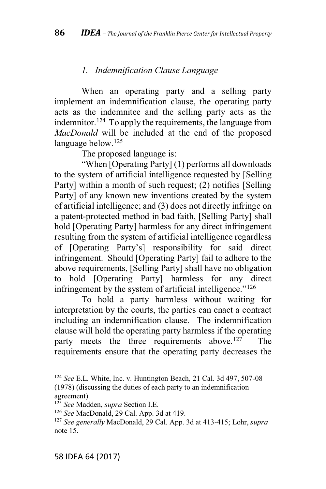#### *1. Indemnification Clause Language*

When an operating party and a selling party implement an indemnification clause, the operating party acts as the indemnitee and the selling party acts as the indemnitor.<sup>124</sup> To apply the requirements, the language from *MacDonald* will be included at the end of the proposed language below.<sup>125</sup>

The proposed language is:

"When [Operating Party] (1) performs all downloads to the system of artificial intelligence requested by [Selling Party] within a month of such request; (2) notifies [Selling Party] of any known new inventions created by the system of artificial intelligence; and (3) does not directly infringe on a patent-protected method in bad faith, [Selling Party] shall hold [Operating Party] harmless for any direct infringement resulting from the system of artificial intelligence regardless of [Operating Party's] responsibility for said direct infringement. Should [Operating Party] fail to adhere to the above requirements, [Selling Party] shall have no obligation to hold [Operating Party] harmless for any direct infringement by the system of artificial intelligence." $126$ 

To hold a party harmless without waiting for interpretation by the courts, the parties can enact a contract including an indemnification clause. The indemnification clause will hold the operating party harmless if the operating party meets the three requirements above.<sup>127</sup> The requirements ensure that the operating party decreases the

<sup>124</sup> *See* E.L. White, Inc. v. Huntington Beach*,* 21 Cal. 3d 497, 507-08 (1978) (discussing the duties of each party to an indemnification agreement).

<sup>125</sup> *See* Madden, *supra* Section I.E.

<sup>126</sup> *See* MacDonald, 29 Cal. App. 3d at 419.

<sup>127</sup> *See generally* MacDonald, 29 Cal. App. 3d at 413-415; Lohr, *supra* note 15.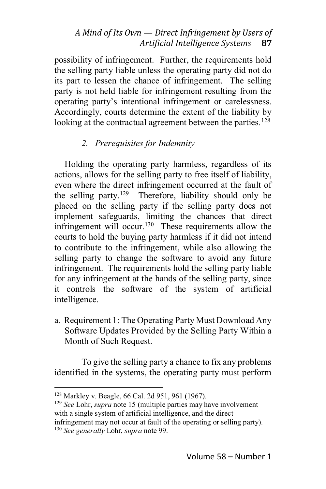possibility of infringement. Further, the requirements hold the selling party liable unless the operating party did not do its part to lessen the chance of infringement. The selling party is not held liable for infringement resulting from the operating party's intentional infringement or carelessness. Accordingly, courts determine the extent of the liability by looking at the contractual agreement between the parties.<sup>128</sup>

## *2. Prerequisites for Indemnity*

Holding the operating party harmless, regardless of its actions, allows for the selling party to free itself of liability, even where the direct infringement occurred at the fault of the selling party.129 Therefore, liability should only be placed on the selling party if the selling party does not implement safeguards, limiting the chances that direct infringement will occur.<sup>130</sup> These requirements allow the courts to hold the buying party harmless if it did not intend to contribute to the infringement, while also allowing the selling party to change the software to avoid any future infringement. The requirements hold the selling party liable for any infringement at the hands of the selling party, since it controls the software of the system of artificial intelligence.

a. Requirement 1: The Operating Party Must Download Any Software Updates Provided by the Selling Party Within a Month of Such Request.

To give the selling party a chance to fix any problems identified in the systems, the operating party must perform

<sup>128</sup> Markley v. Beagle, 66 Cal. 2d 951, 961 (1967).

<sup>129</sup> *See* Lohr, *supra* note 15 (multiple parties may have involvement with a single system of artificial intelligence, and the direct infringement may not occur at fault of the operating or selling party). <sup>130</sup> *See generally* Lohr, *supra* note 99.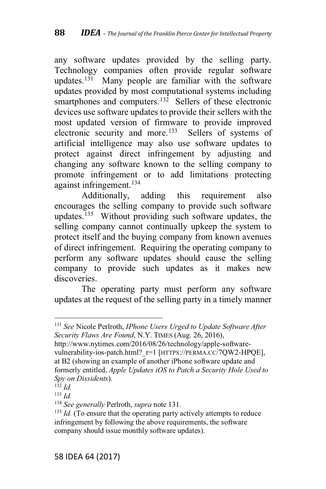any software updates provided by the selling party. Technology companies often provide regular software updates.<sup>131</sup> Many people are familiar with the software updates provided by most computational systems including smartphones and computers.<sup>132</sup> Sellers of these electronic devices use software updates to provide their sellers with the most updated version of firmware to provide improved electronic security and more.<sup>133</sup> Sellers of systems of artificial intelligence may also use software updates to protect against direct infringement by adjusting and changing any software known to the selling company to promote infringement or to add limitations protecting against infringement.134

Additionally, adding this requirement also encourages the selling company to provide such software updates.<sup>135</sup> Without providing such software updates, the selling company cannot continually upkeep the system to protect itself and the buying company from known avenues of direct infringement. Requiring the operating company to perform any software updates should cause the selling company to provide such updates as it makes new discoveries.

The operating party must perform any software updates at the request of the selling party in a timely manner

<sup>131</sup> *See* Nicole Perlroth, *IPhone Users Urged to Update Software After Security Flaws Are Found*, N.Y. TIMES (Aug. 26, 2016),

http://www.nytimes.com/2016/08/26/technology/apple-softwarevulnerability-ios-patch.html? r=1 [HTTPS://PERMA.CC/7QW2-HPQE], at B2 (showing an example of another iPhone software update and formerly entitled, *Apple Updates iOS to Patch a Security Hole Used to Spy on Dissidents*).

<sup>132</sup> *Id.*

<sup>133</sup> *Id.*

<sup>134</sup> *See generally* Perlroth, *supra* note 131.

<sup>&</sup>lt;sup>135</sup> *Id.* (To ensure that the operating party actively attempts to reduce infringement by following the above requirements, the software company should issue monthly software updates).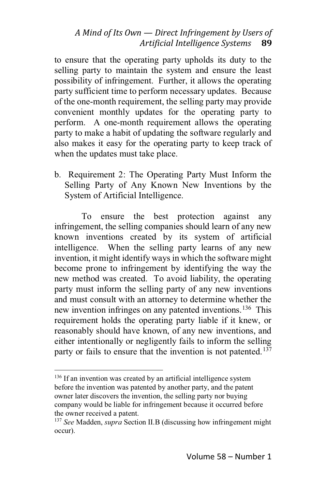to ensure that the operating party upholds its duty to the selling party to maintain the system and ensure the least possibility of infringement. Further, it allows the operating party sufficient time to perform necessary updates. Because of the one-month requirement, the selling party may provide convenient monthly updates for the operating party to perform. A one-month requirement allows the operating party to make a habit of updating the software regularly and also makes it easy for the operating party to keep track of when the updates must take place.

b. Requirement 2: The Operating Party Must Inform the Selling Party of Any Known New Inventions by the System of Artificial Intelligence.

To ensure the best protection against any infringement, the selling companies should learn of any new known inventions created by its system of artificial intelligence. When the selling party learns of any new invention, it might identify ways in which the software might become prone to infringement by identifying the way the new method was created. To avoid liability, the operating party must inform the selling party of any new inventions and must consult with an attorney to determine whether the new invention infringes on any patented inventions.<sup>136</sup> This requirement holds the operating party liable if it knew, or reasonably should have known, of any new inventions, and either intentionally or negligently fails to inform the selling party or fails to ensure that the invention is not patented.<sup>137</sup>

 $136$  If an invention was created by an artificial intelligence system before the invention was patented by another party, and the patent owner later discovers the invention, the selling party nor buying company would be liable for infringement because it occurred before the owner received a patent.

<sup>137</sup> *See* Madden, *supra* Section II.B (discussing how infringement might occur).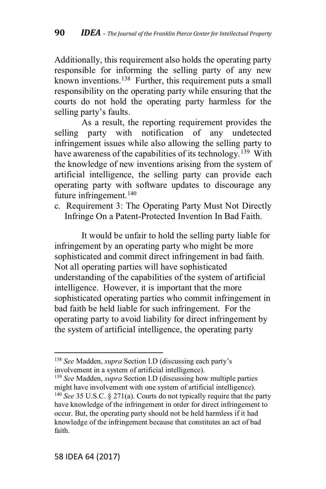Additionally, this requirement also holds the operating party responsible for informing the selling party of any new known inventions.138 Further, this requirement puts a small responsibility on the operating party while ensuring that the courts do not hold the operating party harmless for the selling party's faults.

As a result, the reporting requirement provides the selling party with notification of any undetected infringement issues while also allowing the selling party to have awareness of the capabilities of its technology.<sup>139</sup> With the knowledge of new inventions arising from the system of artificial intelligence, the selling party can provide each operating party with software updates to discourage any future infringement.<sup>140</sup>

c. Requirement 3: The Operating Party Must Not Directly Infringe On a Patent-Protected Invention In Bad Faith.

It would be unfair to hold the selling party liable for infringement by an operating party who might be more sophisticated and commit direct infringement in bad faith. Not all operating parties will have sophisticated understanding of the capabilities of the system of artificial intelligence. However, it is important that the more sophisticated operating parties who commit infringement in bad faith be held liable for such infringement. For the operating party to avoid liability for direct infringement by the system of artificial intelligence, the operating party

<sup>&</sup>lt;sup>138</sup> See Madden, *supra* Section I.D (discussing each party's involvement in a system of artificial intelligence).

<sup>139</sup> *See* Madden, *supra* Section I.D (discussing how multiple parties might have involvement with one system of artificial intelligence). <sup>140</sup> *See* 35 U.S.C. § 271(a). Courts do not typically require that the party have knowledge of the infringement in order for direct infringement to occur. But, the operating party should not be held harmless if it had knowledge of the infringement because that constitutes an act of bad faith.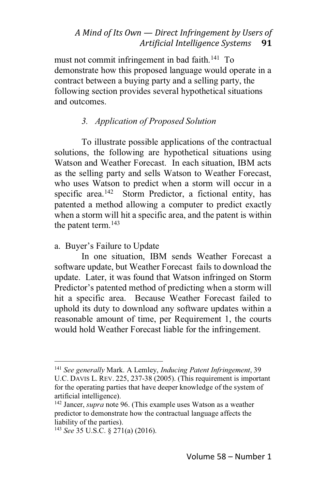must not commit infringement in bad faith.<sup>141</sup> To demonstrate how this proposed language would operate in a contract between a buying party and a selling party, the following section provides several hypothetical situations and outcomes.

#### *3. Application of Proposed Solution*

To illustrate possible applications of the contractual solutions, the following are hypothetical situations using Watson and Weather Forecast. In each situation, IBM acts as the selling party and sells Watson to Weather Forecast, who uses Watson to predict when a storm will occur in a specific area.<sup>142</sup> Storm Predictor, a fictional entity, has patented a method allowing a computer to predict exactly when a storm will hit a specific area, and the patent is within the patent term.<sup>143</sup>

a. Buyer's Failure to Update

In one situation, IBM sends Weather Forecast a software update, but Weather Forecast fails to download the update. Later, it was found that Watson infringed on Storm Predictor's patented method of predicting when a storm will hit a specific area. Because Weather Forecast failed to uphold its duty to download any software updates within a reasonable amount of time, per Requirement 1, the courts would hold Weather Forecast liable for the infringement.

<sup>141</sup> *See generally* Mark. A Lemley, *Inducing Patent Infringement*, 39 U.C. DAVIS L. REV. 225, 237-38 (2005). (This requirement is important for the operating parties that have deeper knowledge of the system of artificial intelligence).

<sup>142</sup> Jancer, *supra* note 96. (This example uses Watson as a weather predictor to demonstrate how the contractual language affects the liability of the parties).

<sup>143</sup> *See* 35 U.S.C. § 271(a) (2016).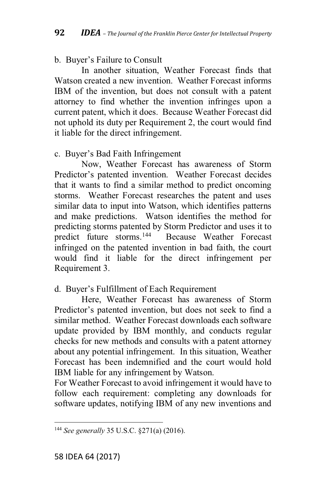## b. Buyer's Failure to Consult

In another situation, Weather Forecast finds that Watson created a new invention. Weather Forecast informs IBM of the invention, but does not consult with a patent attorney to find whether the invention infringes upon a current patent, which it does. Because Weather Forecast did not uphold its duty per Requirement 2, the court would find it liable for the direct infringement.

## c. Buyer's Bad Faith Infringement

Now, Weather Forecast has awareness of Storm Predictor's patented invention. Weather Forecast decides that it wants to find a similar method to predict oncoming storms. Weather Forecast researches the patent and uses similar data to input into Watson, which identifies patterns and make predictions. Watson identifies the method for predicting storms patented by Storm Predictor and uses it to predict future storms.144 Because Weather Forecast infringed on the patented invention in bad faith, the court would find it liable for the direct infringement per Requirement 3.

# d. Buyer's Fulfillment of Each Requirement

Here, Weather Forecast has awareness of Storm Predictor's patented invention, but does not seek to find a similar method. Weather Forecast downloads each software update provided by IBM monthly, and conducts regular checks for new methods and consults with a patent attorney about any potential infringement. In this situation, Weather Forecast has been indemnified and the court would hold IBM liable for any infringement by Watson.

For Weather Forecast to avoid infringement it would have to follow each requirement: completing any downloads for software updates, notifying IBM of any new inventions and

<sup>144</sup> *See generally* 35 U.S.C. §271(a) (2016).